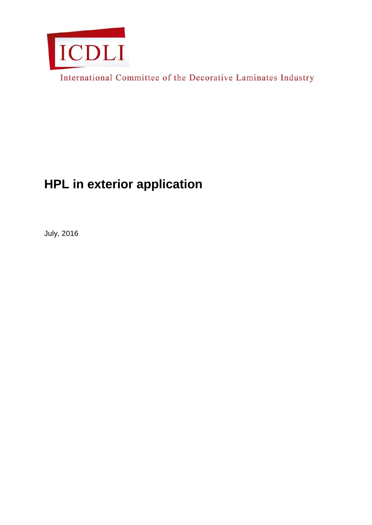

International Committee of the Decorative Laminates Industry

# **HPL in exterior application**

July, 2016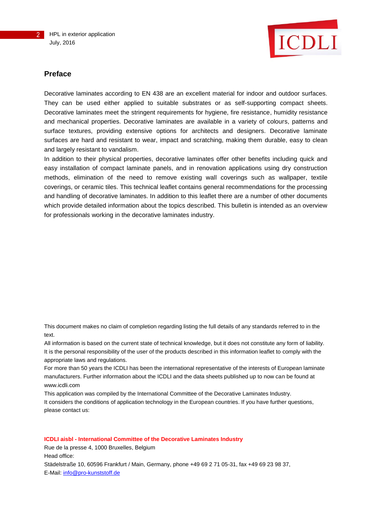

#### **Preface**

Decorative laminates according to EN 438 are an excellent material for indoor and outdoor surfaces. They can be used either applied to suitable substrates or as self-supporting compact sheets. Decorative laminates meet the stringent requirements for hygiene, fire resistance, humidity resistance and mechanical properties. Decorative laminates are available in a variety of colours, patterns and surface textures, providing extensive options for architects and designers. Decorative laminate surfaces are hard and resistant to wear, impact and scratching, making them durable, easy to clean and largely resistant to vandalism.

In addition to their physical properties, decorative laminates offer other benefits including quick and easy installation of compact laminate panels, and in renovation applications using dry construction methods, elimination of the need to remove existing wall coverings such as wallpaper, textile coverings, or ceramic tiles. This technical leaflet contains general recommendations for the processing and handling of decorative laminates. In addition to this leaflet there are a number of other documents which provide detailed information about the topics described. This bulletin is intended as an overview for professionals working in the decorative laminates industry.

This document makes no claim of completion regarding listing the full details of any standards referred to in the text.

All information is based on the current state of technical knowledge, but it does not constitute any form of liability. It is the personal responsibility of the user of the products described in this information leaflet to comply with the appropriate laws and regulations.

For more than 50 years the ICDLI has been the international representative of the interests of European laminate manufacturers. Further information about the ICDLI and the data sheets published up to now can be found at www.icdli.com

This application was compiled by the International Committee of the Decorative Laminates Industry. It considers the conditions of application technology in the European countries. If you have further questions, please contact us:

#### **ICDLI aisbl - International Committee of the Decorative Laminates Industry**

Rue de la presse 4, 1000 Bruxelles, Belgium Head office: Städelstraße 10, 60596 Frankfurt / Main, Germany, phone +49 69 2 71 05-31, fax +49 69 23 98 37, E-Mail: [info@pro-kunststoff.de](mailto:info@pro-kunststoff.de)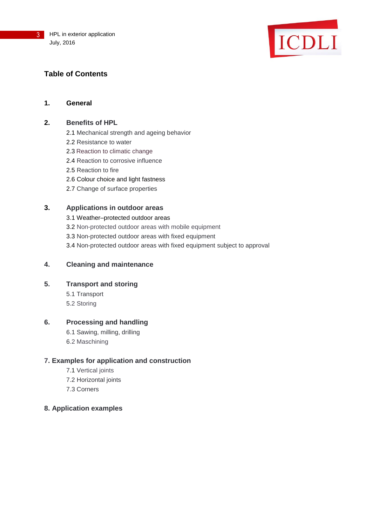

# **Table of Contents**

## **1. General**

## **2. Benefits of HPL**

- 2.1 Mechanical strength and ageing behavior
- 2.2 Resistance to water
- 2.3 Reaction to climatic change
- 2.4 Reaction to corrosive influence
- 2.5 Reaction to fire
- 2.6 Colour choice and light fastness
- 2.7 Change of surface properties

## **3. Applications in outdoor areas**

3.1 Weather–protected outdoor areas 3.2 Non-protected outdoor areas with mobile equipment 3.3 Non-protected outdoor areas with fixed equipment 3.4 Non-protected outdoor areas with fixed equipment subject to approval

## **4. Cleaning and maintenance**

## **5. Transport and storing**

5.1 Transport 5.2 Storing

## **6. Processing and handling**

6.1 Sawing, milling, drilling 6.2 Maschining

## **7. Examples for application and construction**

- 7.1 Vertical joints
- 7.2 Horizontal joints
- 7.3 Corners

## **8. Application examples**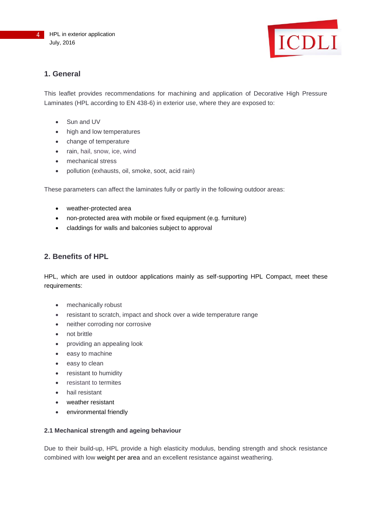

## **1. General**

This leaflet provides recommendations for machining and application of Decorative High Pressure Laminates (HPL according to EN 438-6) in exterior use, where they are exposed to:

- Sun and UV
- high and low temperatures
- change of temperature
- rain, hail, snow, ice, wind
- mechanical stress
- pollution (exhausts, oil, smoke, soot, acid rain)

These parameters can affect the laminates fully or partly in the following outdoor areas:

- weather-protected area
- non-protected area with mobile or fixed equipment (e.g. furniture)
- claddings for walls and balconies subject to approval

## **2. Benefits of HPL**

HPL, which are used in outdoor applications mainly as self-supporting HPL Compact, meet these requirements:

- mechanically robust
- resistant to scratch, impact and shock over a wide temperature range
- neither corroding nor corrosive
- not brittle
- providing an appealing look
- easy to machine
- easy to clean
- resistant to humidity
- resistant to termites
- hail resistant
- weather resistant
- environmental friendly

#### **2.1 Mechanical strength and ageing behaviour**

Due to their build-up, HPL provide a high elasticity modulus, bending strength and shock resistance combined with low weight per area and an excellent resistance against weathering.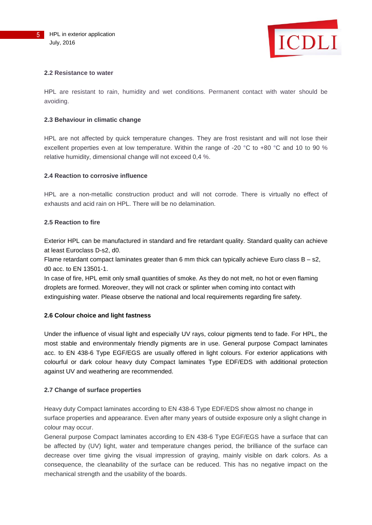

#### **2.2 Resistance to water**

HPL are resistant to rain, humidity and wet conditions. Permanent contact with water should be avoiding.

#### **2.3 Behaviour in climatic change**

HPL are not affected by quick temperature changes. They are frost resistant and will not lose their excellent properties even at low temperature. Within the range of -20 °C to +80 °C and 10 to 90 % relative humidity, dimensional change will not exceed 0,4 %.

#### **2.4 Reaction to corrosive influence**

HPL are a non-metallic construction product and will not corrode. There is virtually no effect of exhausts and acid rain on HPL. There will be no delamination.

#### **2.5 Reaction to fire**

Exterior HPL can be manufactured in standard and fire retardant quality. Standard quality can achieve at least Euroclass D-s2, d0.

Flame retardant compact laminates greater than  $6$  mm thick can typically achieve Euro class  $B - s2$ , d0 acc. to EN 13501-1.

In case of fire, HPL emit only small quantities of smoke. As they do not melt, no hot or even flaming droplets are formed. Moreover, they will not crack or splinter when coming into contact with extinguishing water. Please observe the national and local requirements regarding fire safety.

#### **2.6 Colour choice and light fastness**

Under the influence of visual light and especially UV rays, colour pigments tend to fade. For HPL, the most stable and environmentaly friendly pigments are in use. General purpose Compact laminates acc. to EN 438-6 Type EGF/EGS are usually offered in light colours. For exterior applications with colourful or dark colour heavy duty Compact laminates Type EDF/EDS with additional protection against UV and weathering are recommended.

#### **2.7 Change of surface properties**

Heavy duty Compact laminates according to EN 438-6 Type EDF/EDS show almost no change in surface properties and appearance. Even after many years of outside exposure only a slight change in colour may occur.

General purpose Compact laminates according to EN 438-6 Type EGF/EGS have a surface that can be affected by (UV) light, water and temperature changes period, the brilliance of the surface can decrease over time giving the visual impression of graying, mainly visible on dark colors. As a consequence, the cleanability of the surface can be reduced. This has no negative impact on the mechanical strength and the usability of the boards.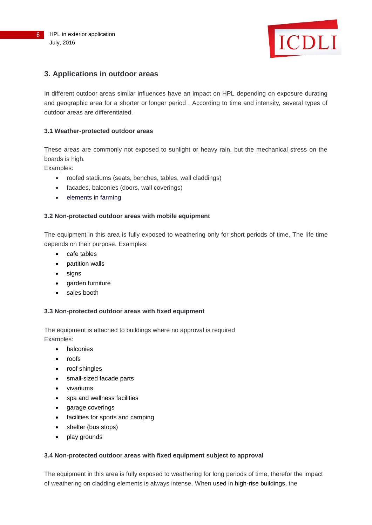

## **3. Applications in outdoor areas**

In different outdoor areas similar influences have an impact on HPL depending on exposure durating and geographic area for a shorter or longer period . According to time and intensity, several types of outdoor areas are differentiated.

#### **3.1 Weather-protected outdoor areas**

These areas are commonly not exposed to sunlight or heavy rain, but the mechanical stress on the boards is high.

Examples:

- roofed stadiums (seats, benches, tables, wall claddings)
- facades, balconies (doors, wall coverings)
- elements in farming

#### **3.2 Non-protected outdoor areas with mobile equipment**

The equipment in this area is fully exposed to weathering only for short periods of time. The life time depends on their purpose. Examples:

- cafe tables
- partition walls
- signs
- garden furniture
- sales booth

#### **3.3 Non-protected outdoor areas with fixed equipment**

The equipment is attached to buildings where no approval is required Examples:

- balconies
- roofs
- roof shingles
- small-sized facade parts
- vivariums
- spa and wellness facilities
- garage coverings
- facilities for sports and camping
- shelter (bus stops)
- play grounds

#### **3.4 Non-protected outdoor areas with fixed equipment subject to approval**

The equipment in this area is fully exposed to weathering for long periods of time, therefor the impact of weathering on cladding elements is always intense. When used in high-rise buildings, the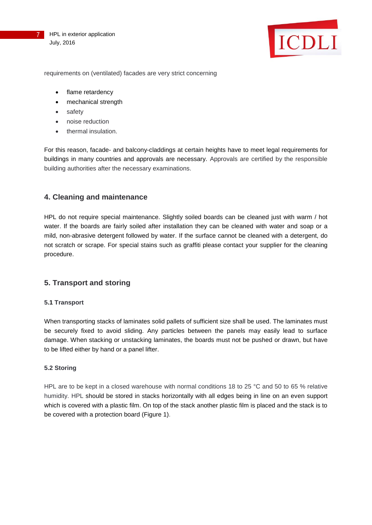



requirements on (ventilated) facades are very strict concerning

- flame retardency
- mechanical strength
- safety
- noise reduction
- thermal insulation.

For this reason, facade- and balcony-claddings at certain heights have to meet legal requirements for buildings in many countries and approvals are necessary. Approvals are certified by the responsible building authorities after the necessary examinations.

#### **4. Cleaning and maintenance**

HPL do not require special maintenance. Slightly soiled boards can be cleaned just with warm / hot water. If the boards are fairly soiled after installation they can be cleaned with water and soap or a mild, non-abrasive detergent followed by water. If the surface cannot be cleaned with a detergent, do not scratch or scrape. For special stains such as graffiti please contact your supplier for the cleaning procedure.

## **5. Transport and storing**

#### **5.1 Transport**

When transporting stacks of laminates solid pallets of sufficient size shall be used. The laminates must be securely fixed to avoid sliding. Any particles between the panels may easily lead to surface damage. When stacking or unstacking laminates, the boards must not be pushed or drawn, but have to be lifted either by hand or a panel lifter.

#### **5.2 Storing**

HPL are to be kept in a closed warehouse with normal conditions 18 to 25 °C and 50 to 65 % relative humidity. HPL should be stored in stacks horizontally with all edges being in line on an even support which is covered with a plastic film. On top of the stack another plastic film is placed and the stack is to be covered with a protection board (Figure 1).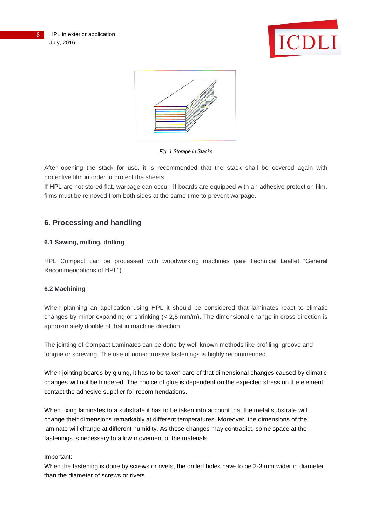



*Fig. 1 Storage in Stacks*

After opening the stack for use, it is recommended that the stack shall be covered again with protective film in order to protect the sheets.

If HPL are not stored flat, warpage can occur. If boards are equipped with an adhesive protection film, films must be removed from both sides at the same time to prevent warpage.

## **6. Processing and handling**

## **6.1 Sawing, milling, drilling**

HPL Compact can be processed with woodworking machines (see Technical Leaflet "General Recommendations of HPL").

## **6.2 Machining**

When planning an application using HPL it should be considered that laminates react to climatic changes by minor expanding or shrinking  $\left($  < 2,5 mm/m). The dimensional change in cross direction is approximately double of that in machine direction.

The jointing of Compact Laminates can be done by well-known methods like profiling, groove and tongue or screwing. The use of non-corrosive fastenings is highly recommended.

When jointing boards by gluing, it has to be taken care of that dimensional changes caused by climatic changes will not be hindered. The choice of glue is dependent on the expected stress on the element, contact the adhesive supplier for recommendations.

When fixing laminates to a substrate it has to be taken into account that the metal substrate will change their dimensions remarkably at different temperatures. Moreover, the dimensions of the laminate will change at different humidity. As these changes may contradict, some space at the fastenings is necessary to allow movement of the materials.

## Important:

When the fastening is done by screws or rivets, the drilled holes have to be 2-3 mm wider in diameter than the diameter of screws or rivets.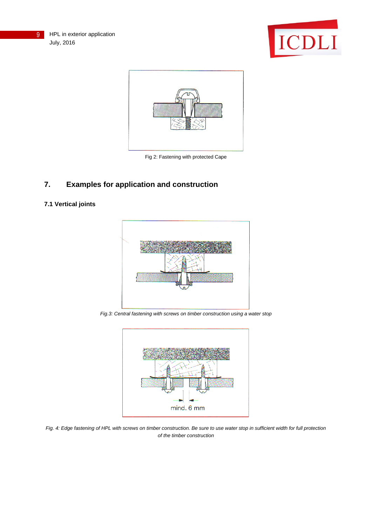



Fig 2: Fastening with protected Cape

# **7. Examples for application and construction**

## **7.1 Vertical joints**



*Fig.3: Central fastening with screws on timber construction using a water stop*



*Fig. 4: Edge fastening of HPL with screws on timber construction. Be sure to use water stop in sufficient width for full protection of the timber construction*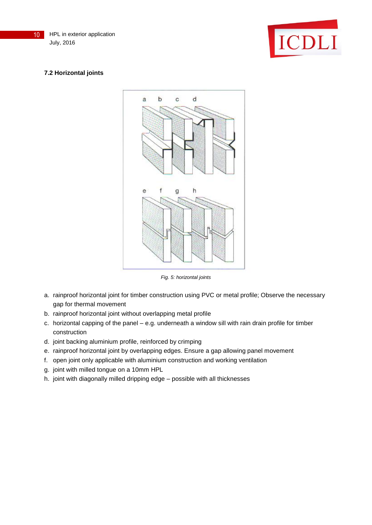## **7.2 Horizontal joints**



ICDLI

*Fig. 5: horizontal joints*

- a. rainproof horizontal joint for timber construction using PVC or metal profile; Observe the necessary gap for thermal movement
- b. rainproof horizontal joint without overlapping metal profile
- c. horizontal capping of the panel e.g. underneath a window sill with rain drain profile for timber construction
- d. joint backing aluminium profile, reinforced by crimping
- e. rainproof horizontal joint by overlapping edges. Ensure a gap allowing panel movement
- f. open joint only applicable with aluminium construction and working ventilation
- g. joint with milled tongue on a 10mm HPL
- h. joint with diagonally milled dripping edge possible with all thicknesses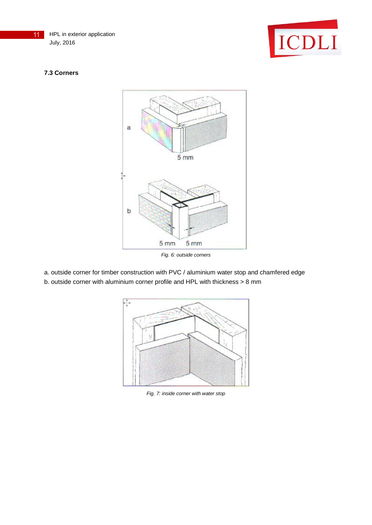



## **7.3 Corners**



*Fig. 6: outside corners*

- a. outside corner for timber construction with PVC / aluminium water stop and chamfered edge
- b. outside corner with aluminium corner profile and HPL with thickness > 8 mm



*Fig. 7: inside corner with water stop*